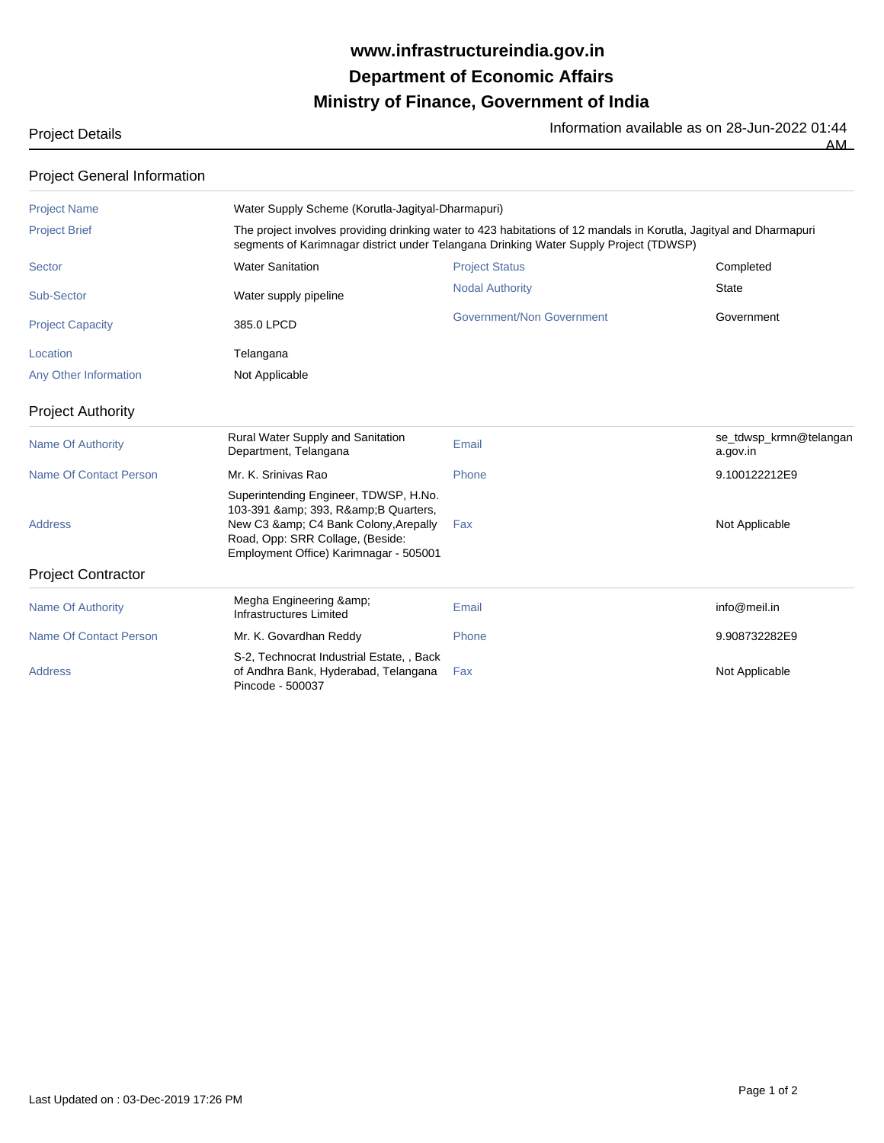## **Ministry of Finance, Government of India Department of Economic Affairs www.infrastructureindia.gov.in**

AM

|  | iviuu Dutalio |  |
|--|---------------|--|
|  |               |  |
|  |               |  |

| <b>Project Details</b> | Information available as on 28-Jun-2022 01:44 |
|------------------------|-----------------------------------------------|
|                        |                                               |

| <b>Project General Information</b> |                                                                                                                                                                                                     |                                                                                                                                                                                                             |                                    |  |  |  |  |
|------------------------------------|-----------------------------------------------------------------------------------------------------------------------------------------------------------------------------------------------------|-------------------------------------------------------------------------------------------------------------------------------------------------------------------------------------------------------------|------------------------------------|--|--|--|--|
| <b>Project Name</b>                |                                                                                                                                                                                                     | Water Supply Scheme (Korutla-Jagityal-Dharmapuri)                                                                                                                                                           |                                    |  |  |  |  |
| <b>Project Brief</b>               |                                                                                                                                                                                                     | The project involves providing drinking water to 423 habitations of 12 mandals in Korutla, Jagityal and Dharmapuri<br>segments of Karimnagar district under Telangana Drinking Water Supply Project (TDWSP) |                                    |  |  |  |  |
| Sector                             | <b>Water Sanitation</b>                                                                                                                                                                             | <b>Project Status</b>                                                                                                                                                                                       | Completed                          |  |  |  |  |
| Sub-Sector                         | Water supply pipeline                                                                                                                                                                               | <b>Nodal Authority</b>                                                                                                                                                                                      | <b>State</b>                       |  |  |  |  |
| <b>Project Capacity</b>            | 385.0 LPCD                                                                                                                                                                                          | Government/Non Government                                                                                                                                                                                   | Government                         |  |  |  |  |
| Location                           | Telangana                                                                                                                                                                                           |                                                                                                                                                                                                             |                                    |  |  |  |  |
| Any Other Information              | Not Applicable                                                                                                                                                                                      |                                                                                                                                                                                                             |                                    |  |  |  |  |
| <b>Project Authority</b>           |                                                                                                                                                                                                     |                                                                                                                                                                                                             |                                    |  |  |  |  |
| <b>Name Of Authority</b>           | Rural Water Supply and Sanitation<br>Department, Telangana                                                                                                                                          | Email                                                                                                                                                                                                       | se_tdwsp_krmn@telangan<br>a.gov.in |  |  |  |  |
| Name Of Contact Person             | Mr. K. Sriniyas Rao                                                                                                                                                                                 | Phone                                                                                                                                                                                                       | 9.100122212E9                      |  |  |  |  |
| <b>Address</b>                     | Superintending Engineer, TDWSP, H.No.<br>103-391 & amp; 393, R& amp; B Quarters,<br>New C3 & C4 Bank Colony, Arepally<br>Road, Opp: SRR Collage, (Beside:<br>Employment Office) Karimnagar - 505001 | Fax                                                                                                                                                                                                         | Not Applicable                     |  |  |  |  |
| <b>Project Contractor</b>          |                                                                                                                                                                                                     |                                                                                                                                                                                                             |                                    |  |  |  |  |
| <b>Name Of Authority</b>           | Megha Engineering &<br>Infrastructures Limited                                                                                                                                                      | Email                                                                                                                                                                                                       | info@meil.in                       |  |  |  |  |
| <b>Name Of Contact Person</b>      | Mr. K. Govardhan Reddy                                                                                                                                                                              | Phone                                                                                                                                                                                                       | 9.908732282E9                      |  |  |  |  |
| <b>Address</b>                     | S-2, Technocrat Industrial Estate, , Back<br>of Andhra Bank, Hyderabad, Telangana<br>Pincode - 500037                                                                                               | Fax                                                                                                                                                                                                         | Not Applicable                     |  |  |  |  |